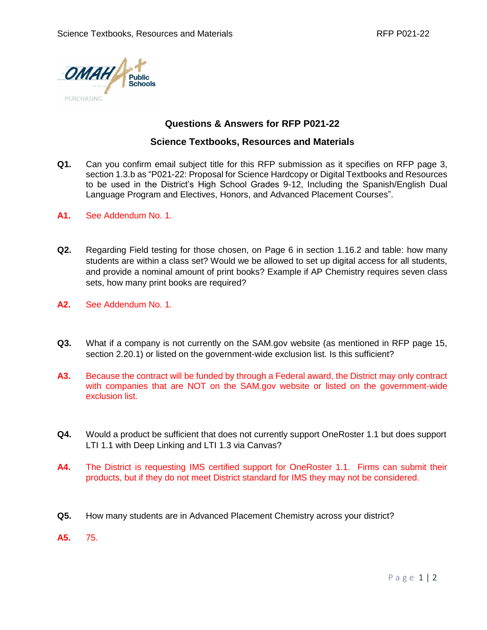

## **Questions & Answers for RFP P021-22**

## **Science Textbooks, Resources and Materials**

- **Q1.** Can you confirm email subject title for this RFP submission as it specifies on RFP page 3, section 1.3.b as "P021-22: Proposal for Science Hardcopy or Digital Textbooks and Resources to be used in the District's High School Grades 9-12, Including the Spanish/English Dual Language Program and Electives, Honors, and Advanced Placement Courses".
- **A1.** See Addendum No. 1.
- **Q2.** Regarding Field testing for those chosen, on Page 6 in section 1.16.2 and table: how many students are within a class set? Would we be allowed to set up digital access for all students, and provide a nominal amount of print books? Example if AP Chemistry requires seven class sets, how many print books are required?
- **A2.** See Addendum No. 1.
- **Q3.** What if a company is not currently on the SAM.gov website (as mentioned in RFP page 15, section 2.20.1) or listed on the government-wide exclusion list. Is this sufficient?
- **A3.** Because the contract will be funded by through a Federal award, the District may only contract with companies that are NOT on the SAM.gov website or listed on the government-wide exclusion list.
- **Q4.** Would a product be sufficient that does not currently support OneRoster 1.1 but does support LTI 1.1 with Deep Linking and LTI 1.3 via Canvas?
- **A4.** The District is requesting IMS certified support for OneRoster 1.1. Firms can submit their products, but if they do not meet District standard for IMS they may not be considered.
- **Q5.** How many students are in Advanced Placement Chemistry across your district?
- **A5.** 75.